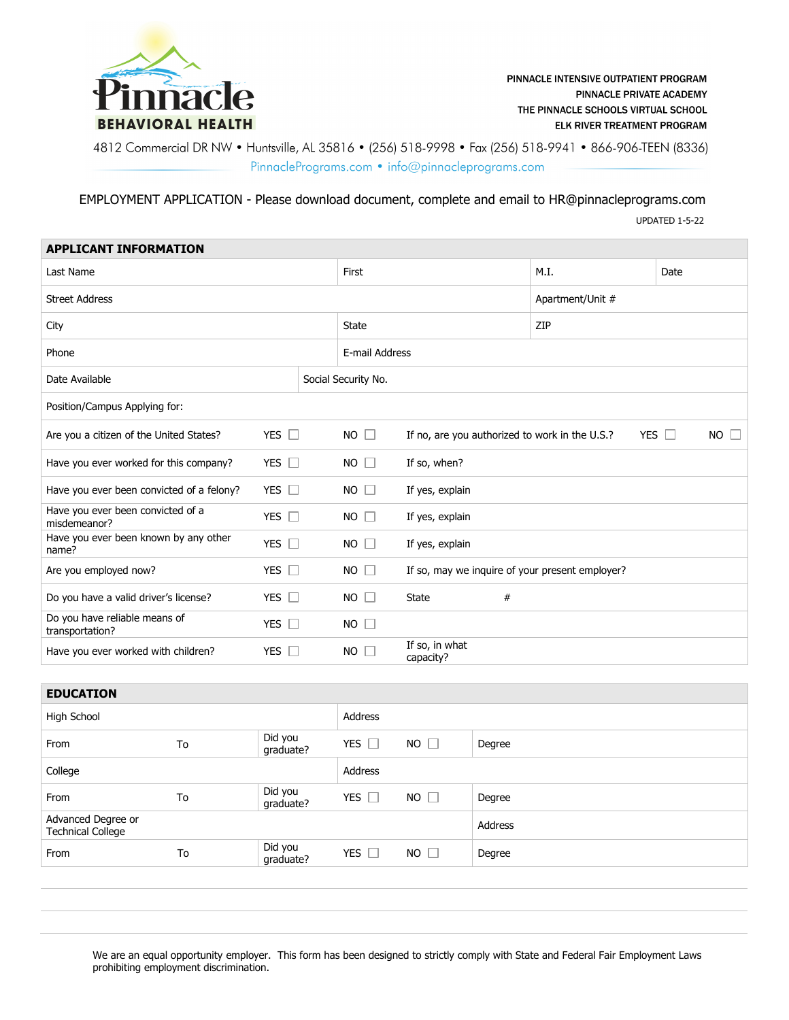

4812 Commercial DR NW • Huntsville, AL 35816 • (256) 518-9998 • Fax (256) 518-9941 • 866-906-TEEN (8336) PinnaclePrograms.com · info@pinnacleprograms.com

EMPLOYMENT APPLICATION - Please download document, complete and email to HR@pinnacleprograms.com

UPDATED 1-5-22

| <b>APPLICANT INFORMATION</b>                      |                      |  |                     |  |                             |      |                                                 |            |        |           |
|---------------------------------------------------|----------------------|--|---------------------|--|-----------------------------|------|-------------------------------------------------|------------|--------|-----------|
| Last Name                                         |                      |  | First               |  |                             | M.I. |                                                 | Date       |        |           |
| <b>Street Address</b>                             |                      |  |                     |  |                             |      | Apartment/Unit #                                |            |        |           |
| City                                              |                      |  | <b>State</b>        |  |                             | ZIP  |                                                 |            |        |           |
| Phone                                             |                      |  | E-mail Address      |  |                             |      |                                                 |            |        |           |
| Date Available                                    |                      |  | Social Security No. |  |                             |      |                                                 |            |        |           |
| Position/Campus Applying for:                     |                      |  |                     |  |                             |      |                                                 |            |        |           |
| Are you a citizen of the United States?           | YES $\Box$           |  | $NO$ $\Box$         |  |                             |      | If no, are you authorized to work in the U.S.?  | <b>YES</b> | $\Box$ | $NO \Box$ |
| Have you ever worked for this company?            | YES $\Box$           |  | $NO$ $\Box$         |  | If so, when?                |      |                                                 |            |        |           |
| Have you ever been convicted of a felony?         | YES $\Box$           |  | $NO$ $\Box$         |  | If yes, explain             |      |                                                 |            |        |           |
| Have you ever been convicted of a<br>misdemeanor? | YES $\Box$           |  | $NO$ $\Box$         |  | If yes, explain             |      |                                                 |            |        |           |
| Have you ever been known by any other<br>name?    | YES $\Box$           |  | $NO$ $\Box$         |  | If yes, explain             |      |                                                 |            |        |           |
| Are you employed now?                             | YES $\square$        |  | $NO \square$        |  |                             |      | If so, may we inquire of your present employer? |            |        |           |
| Do you have a valid driver's license?             | YES $\Box$           |  | $NO$ $\Box$         |  | <b>State</b>                | #    |                                                 |            |        |           |
| Do you have reliable means of<br>transportation?  | YES $\Box$           |  | $NO$ $\Box$         |  |                             |      |                                                 |            |        |           |
| Have you ever worked with children?               | <b>YES</b><br>$\Box$ |  | $NO$ $\Box$         |  | If so, in what<br>capacity? |      |                                                 |            |        |           |

| <b>EDUCATION</b> |  |
|------------------|--|
|                  |  |

| EDUCATION                                      |    |                      |               |             |         |  |  |
|------------------------------------------------|----|----------------------|---------------|-------------|---------|--|--|
| High School                                    |    |                      | Address       |             |         |  |  |
| From                                           | To | Did you<br>graduate? | YES $\Box$    | $NO$ $\Box$ | Degree  |  |  |
| College                                        |    |                      | Address       |             |         |  |  |
| From                                           | To | Did you<br>graduate? | YES $\square$ | $NO$ $\Box$ | Degree  |  |  |
| Advanced Degree or<br><b>Technical College</b> |    |                      |               |             | Address |  |  |
| From                                           | To | Did you<br>graduate? | YES $\Box$    | $NO$ $\Box$ | Degree  |  |  |
|                                                |    |                      |               |             |         |  |  |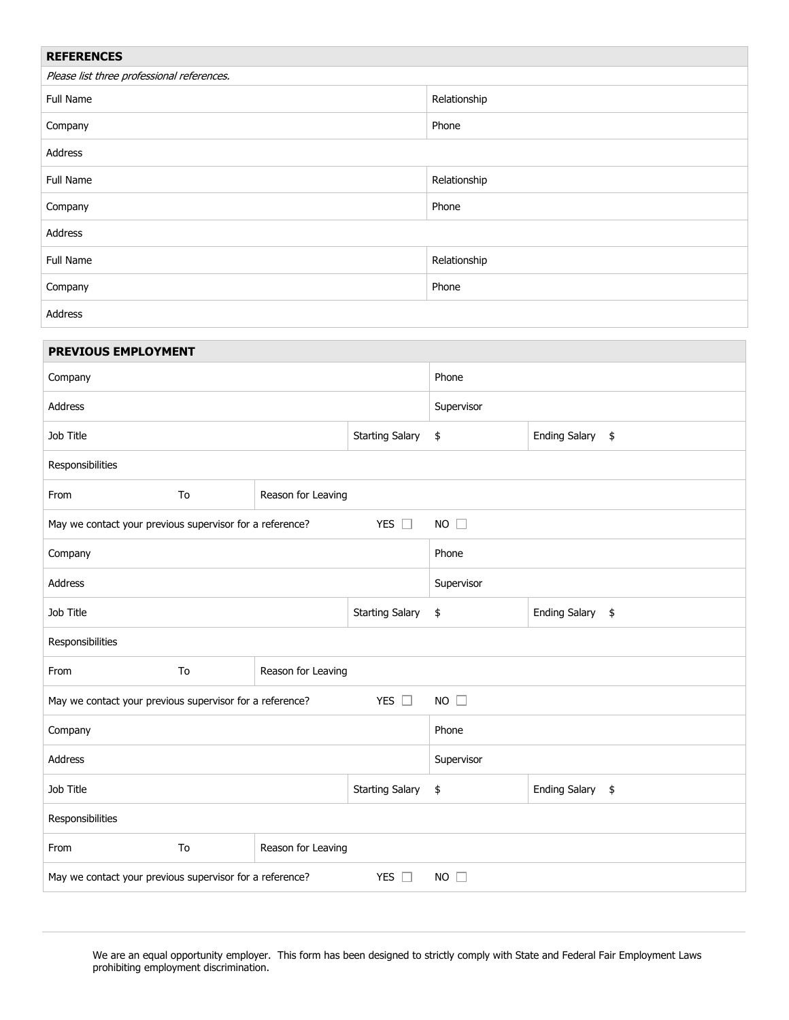| <b>REFERENCES</b>                                                                         |                    |                  |                  |                  |            |  |  |  |  |
|-------------------------------------------------------------------------------------------|--------------------|------------------|------------------|------------------|------------|--|--|--|--|
| Please list three professional references.                                                |                    |                  |                  |                  |            |  |  |  |  |
| Full Name                                                                                 |                    | Relationship     |                  |                  |            |  |  |  |  |
| Company                                                                                   |                    | Phone            |                  |                  |            |  |  |  |  |
| Address                                                                                   |                    |                  |                  |                  |            |  |  |  |  |
| Full Name                                                                                 |                    | Relationship     |                  |                  |            |  |  |  |  |
| Company                                                                                   |                    | Phone            |                  |                  |            |  |  |  |  |
| Address                                                                                   |                    |                  |                  |                  |            |  |  |  |  |
| Full Name                                                                                 |                    | Relationship     |                  |                  |            |  |  |  |  |
| Company                                                                                   |                    |                  | Phone            |                  |            |  |  |  |  |
| Address                                                                                   |                    |                  |                  |                  |            |  |  |  |  |
| PREVIOUS EMPLOYMENT                                                                       |                    |                  |                  |                  |            |  |  |  |  |
| Company                                                                                   |                    |                  | Phone            |                  |            |  |  |  |  |
| Address                                                                                   |                    |                  |                  |                  | Supervisor |  |  |  |  |
| Job Title                                                                                 |                    |                  |                  |                  |            |  |  |  |  |
|                                                                                           | \$                 | Ending Salary \$ |                  |                  |            |  |  |  |  |
| Responsibilities                                                                          |                    |                  |                  |                  |            |  |  |  |  |
| From<br>To                                                                                | Reason for Leaving |                  |                  |                  |            |  |  |  |  |
| May we contact your previous supervisor for a reference?                                  | YES $\square$      | $NO$ $\square$   |                  |                  |            |  |  |  |  |
| Company                                                                                   | Phone              |                  |                  |                  |            |  |  |  |  |
| Address                                                                                   |                    |                  | Supervisor       |                  |            |  |  |  |  |
| Job Title                                                                                 | Starting Salary \$ |                  | Ending Salary \$ |                  |            |  |  |  |  |
| Responsibilities                                                                          |                    |                  |                  |                  |            |  |  |  |  |
| To<br>From                                                                                | Reason for Leaving |                  |                  |                  |            |  |  |  |  |
| NO<br>May we contact your previous supervisor for a reference?<br>YES $\square$           |                    |                  |                  |                  |            |  |  |  |  |
|                                                                                           | Phone              |                  |                  |                  |            |  |  |  |  |
| Company                                                                                   |                    |                  |                  |                  |            |  |  |  |  |
| Address                                                                                   | Supervisor         |                  |                  |                  |            |  |  |  |  |
| Job Title<br><b>Starting Salary</b>                                                       |                    |                  | \$               | Ending Salary \$ |            |  |  |  |  |
| Responsibilities                                                                          |                    |                  |                  |                  |            |  |  |  |  |
| To<br>From                                                                                | Reason for Leaving |                  |                  |                  |            |  |  |  |  |
| May we contact your previous supervisor for a reference?<br>YES $\square$<br>$NO \square$ |                    |                  |                  |                  |            |  |  |  |  |